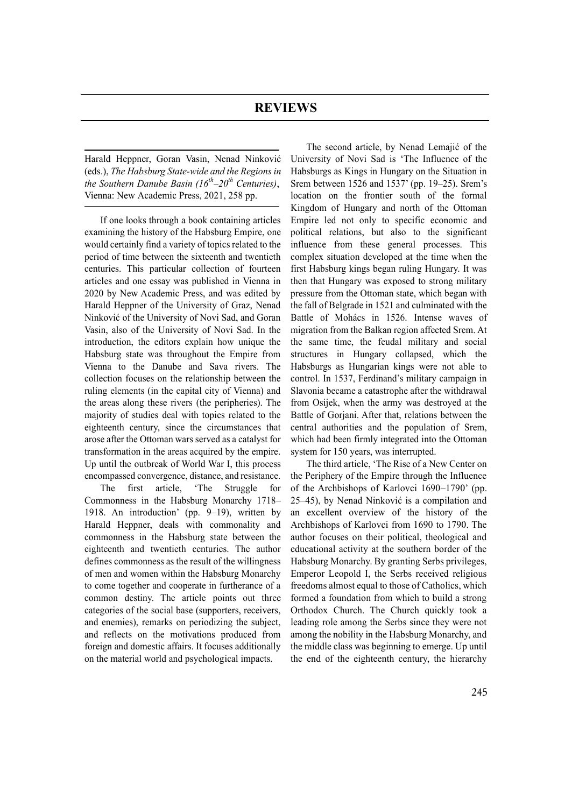Harald Heppner, Goran Vasin, Nenad Ninković (eds.), *The Habsburg State-wide and the Regions in the Southern Danube Basin (16 th –20 th Centuries)*, Vienna: New Academic Press, 2021, 258 pp.

If one looks through a book containing articles examining the history of the Habsburg Empire, one would certainly find a variety of topics related to the period of time between the sixteenth and twentieth centuries. This particular collection of fourteen articles and one essay was published in Vienna in 2020 by New Academic Press, and was edited by Harald Heppner of the University of Graz, Nenad Ninković of the University of Novi Sad, and Goran Vasin, also of the University of Novi Sad. In the introduction, the editors explain how unique the Habsburg state was throughout the Empire from Vienna to the Danube and Sava rivers. The collection focuses on the relationship between the ruling elements (in the capital city of Vienna) and the areas along these rivers (the peripheries). The majority of studies deal with topics related to the eighteenth century, since the circumstances that arose after the Ottoman wars served as a catalyst for transformation in the areas acquired by the empire. Up until the outbreak of World War I, this process encompassed convergence, distance, and resistance.

The first article, 'The Struggle for Commonness in the Habsburg Monarchy 1718– 1918. An introduction' (pp. 9–19), written by Harald Heppner, deals with commonality and commonness in the Habsburg state between the eighteenth and twentieth centuries. The author defines commonness as the result of the willingness of men and women within the Habsburg Monarchy to come together and cooperate in furtherance of a common destiny. The article points out three categories of the social base (supporters, receivers, and enemies), remarks on periodizing the subject, and reflects on the motivations produced from foreign and domestic affairs. It focuses additionally on the material world and psychological impacts.

The second article, by Nenad Lemajić of the University of Novi Sad is 'The Influence of the Habsburgs as Kings in Hungary on the Situation in Srem between 1526 and 1537' (pp. 19–25). Srem's location on the frontier south of the formal Kingdom of Hungary and north of the Ottoman Empire led not only to specific economic and political relations, but also to the significant influence from these general processes. This complex situation developed at the time when the first Habsburg kings began ruling Hungary. It was then that Hungary was exposed to strong military pressure from the Ottoman state, which began with the fall of Belgrade in 1521 and culminated with the Battle of Mohács in 1526. Intense waves of migration from the Balkan region affected Srem. At the same time, the feudal military and social structures in Hungary collapsed, which the Habsburgs as Hungarian kings were not able to control. In 1537, Ferdinand's military campaign in Slavonia became a catastrophe after the withdrawal from Osijek, when the army was destroyed at the Battle of Gorjani. After that, relations between the central authorities and the population of Srem, which had been firmly integrated into the Ottoman system for 150 years, was interrupted.

The third article, 'The Rise of a New Center on the Periphery of the Empire through the Influence of the Archbishops of Karlovci 1690–1790' (pp. 25–45), by Nenad Ninković is a compilation and an excellent overview of the history of the Archbishops of Karlovci from 1690 to 1790. The author focuses on their political, theological and educational activity at the southern border of the Habsburg Monarchy. By granting Serbs privileges, Emperor Leopold I, the Serbs received religious freedoms almost equal to those of Catholics, which formed a foundation from which to build a strong Orthodox Church. The Church quickly took a leading role among the Serbs since they were not among the nobility in the Habsburg Monarchy, and the middle class was beginning to emerge. Up until the end of the eighteenth century, the hierarchy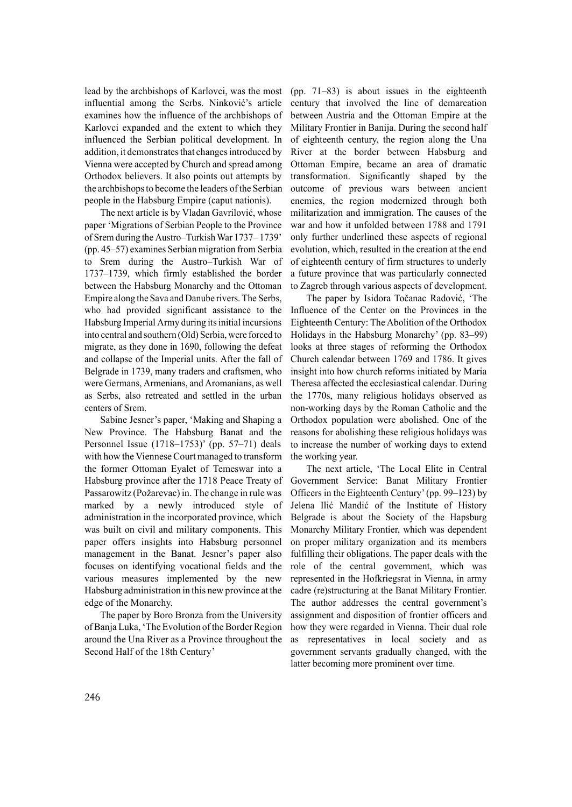lead by the archbishops of Karlovci, was the most influential among the Serbs. Ninković's article examines how the influence of the archbishops of Karlovci expanded and the extent to which they influenced the Serbian political development. In addition, it demonstrates that changes introduced by Vienna were accepted by Church and spread among Orthodox believers. It also points out attempts by the archbishops to become the leaders of the Serbian people in the Habsburg Empire (caput nationis).

The next article is by Vladan Gavrilović, whose paper 'Migrations of Serbian People to the Province of Srem during the Austro–Turkish War 1737– 1739' (pp. 45–57) examines Serbian migration from Serbia to Srem during the Austro–Turkish War of 1737–1739, which firmly established the border between the Habsburg Monarchy and the Ottoman Empire along the Sava and Danube rivers. The Serbs, who had provided significant assistance to the Habsburg Imperial Army during its initial incursions into central and southern (Old) Serbia, were forced to migrate, as they done in 1690, following the defeat and collapse of the Imperial units. After the fall of Belgrade in 1739, many traders and craftsmen, who were Germans, Armenians, and Aromanians, as well as Serbs, also retreated and settled in the urban centers of Srem.

Sabine Jesner's paper, 'Making and Shaping a New Province. The Habsburg Banat and the Personnel Issue (1718–1753)' (pp. 57–71) deals with how the Viennese Court managed to transform the former Ottoman Eyalet of Temeswar into a Habsburg province after the 1718 Peace Treaty of Passarowitz (Požarevac) in. The change in rule was marked by a newly introduced style of administration in the incorporated province, which was built on civil and military components. This paper offers insights into Habsburg personnel management in the Banat. Jesner's paper also focuses on identifying vocational fields and the various measures implemented by the new Habsburg administration in this new province at the edge of the Monarchy.

The paper by Boro Bronza from the University of Banja Luka, 'The Evolution of the Border Region around the Una River as a Province throughout the Second Half of the 18th Century'

(pp. 71–83) is about issues in the eighteenth century that involved the line of demarcation between Austria and the Ottoman Empire at the Military Frontier in Banija. During the second half of eighteenth century, the region along the Una River at the border between Habsburg and Ottoman Empire, became an area of dramatic transformation. Significantly shaped by the outcome of previous wars between ancient enemies, the region modernized through both militarization and immigration. The causes of the war and how it unfolded between 1788 and 1791 only further underlined these aspects of regional evolution, which, resulted in the creation at the end of eighteenth century of firm structures to underly a future province that was particularly connected to Zagreb through various aspects of development.

The paper by Isidora Točanac Radović, 'The Influence of the Center on the Provinces in the Eighteenth Century: The Abolition of the Orthodox Holidays in the Habsburg Monarchy' (pp. 83–99) looks at three stages of reforming the Orthodox Church calendar between 1769 and 1786. It gives insight into how church reforms initiated by Maria Theresa affected the ecclesiastical calendar. During the 1770s, many religious holidays observed as non-working days by the Roman Catholic and the Orthodox population were abolished. One of the reasons for abolishing these religious holidays was to increase the number of working days to extend the working year.

The next article, 'The Local Elite in Central Government Service: Banat Military Frontier Officers in the Eighteenth Century'(pp. 99–123) by Jelena Ilić Mandić of the Institute of History Belgrade is about the Society of the Hapsburg Monarchy Military Frontier, which was dependent on proper military organization and its members fulfilling their obligations. The paper deals with the role of the central government, which was represented in the Hofkriegsrat in Vienna, in army cadre (re)structuring at the Banat Military Frontier. The author addresses the central government's assignment and disposition of frontier officers and how they were regarded in Vienna. Their dual role as representatives in local society and as government servants gradually changed, with the latter becoming more prominent over time.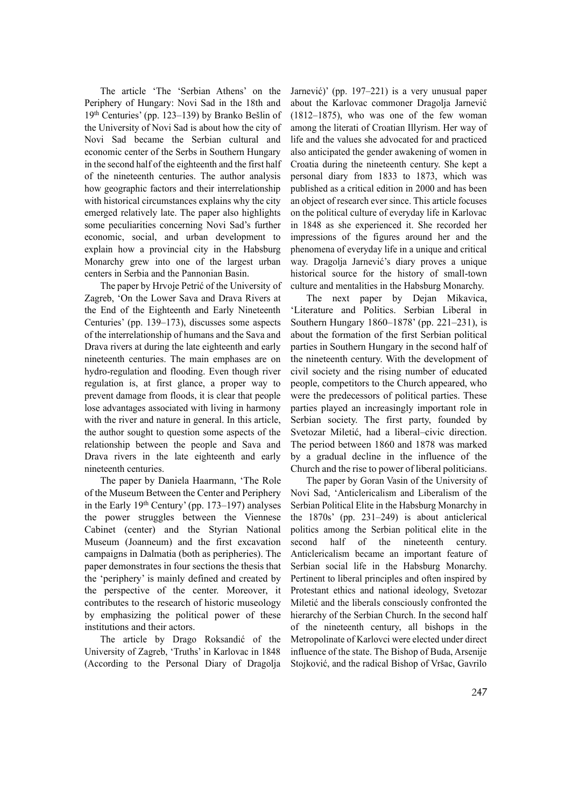The article 'The 'Serbian Athens' on the Periphery of Hungary: Novi Sad in the 18th and 19<sup>th</sup> Centuries' (pp. 123–139) by Branko Bešlin of the University of Novi Sad is about how the city of Novi Sad became the Serbian cultural and economic center of the Serbs in Southern Hungary in the second half of the eighteenth and the first half of the nineteenth centuries. The author analysis how geographic factors and their interrelationship with historical circumstances explains why the city emerged relatively late. The paper also highlights some peculiarities concerning Novi Sad's further economic, social, and urban development to explain how a provincial city in the Habsburg Monarchy grew into one of the largest urban centers in Serbia and the Pannonian Basin.

The paper by Hrvoje Petrić of the University of Zagreb, 'On the Lower Sava and Drava Rivers at the End of the Eighteenth and Early Nineteenth Centuries' (pp. 139–173), discusses some aspects of the interrelationship of humans and the Sava and Drava rivers at during the late eighteenth and early nineteenth centuries. The main emphases are on hydro-regulation and flooding. Even though river regulation is, at first glance, a proper way to prevent damage from floods, it is clear that people lose advantages associated with living in harmony with the river and nature in general. In this article, the author sought to question some aspects of the relationship between the people and Sava and Drava rivers in the late eighteenth and early nineteenth centuries.

The paper by Daniela Haarmann, 'The Role of the Museum Between the Center and Periphery in the Early 19th Century' (pp. 173-197) analyses the power struggles between the Viennese Cabinet (center) and the Styrian National Museum (Joanneum) and the first excavation campaigns in Dalmatia (both as peripheries). The paper demonstrates in four sections the thesis that the 'periphery' is mainly defined and created by the perspective of the center. Moreover, it contributes to the research of historic museology by emphasizing the political power of these institutions and their actors.

The article by Drago Roksandić of the University of Zagreb, 'Truths' in Karlovac in 1848 (According to the Personal Diary of Dragolja

Jarnević)' (pp. 197–221) is a very unusual paper about the Karlovac commoner Dragolja Jarnević (1812–1875), who was one of the few woman among the literati of Croatian Illyrism. Her way of life and the values she advocated for and practiced also anticipated the gender awakening of women in Croatia during the nineteenth century. She kept a personal diary from 1833 to 1873, which was published as a critical edition in 2000 and has been an object of research ever since. This article focuses on the political culture of everyday life in Karlovac in 1848 as she experienced it. She recorded her impressions of the figures around her and the phenomena of everyday life in a unique and critical way. Dragolja Jarnević's diary proves a unique historical source for the history of small-town culture and mentalities in the Habsburg Monarchy.

The next paper by Dejan Mikavica, 'Literature and Politics. Serbian Liberal in Southern Hungary 1860–1878' (pp. 221–231), is about the formation of the first Serbian political parties in Southern Hungary in the second half of the nineteenth century. With the development of civil society and the rising number of educated people, competitors to the Church appeared, who were the predecessors of political parties. These parties played an increasingly important role in Serbian society. The first party, founded by Svetozar Miletić, had a liberal–civic direction. The period between 1860 and 1878 was marked by a gradual decline in the influence of the Church and the rise to power of liberal politicians.

The paper by Goran Vasin of the University of Novi Sad, 'Anticlericalism and Liberalism of the Serbian Political Elite in the Habsburg Monarchy in the 1870s' (pp. 231–249) is about anticlerical politics among the Serbian political elite in the second half of the nineteenth century. Anticlericalism became an important feature of Serbian social life in the Habsburg Monarchy. Pertinent to liberal principles and often inspired by Protestant ethics and national ideology, Svetozar Miletić and the liberals consciously confronted the hierarchy of the Serbian Church. In the second half of the nineteenth century, all bishops in the Metropolinate of Karlovci were elected under direct influence of the state. The Bishop of Buda, Arsenije Stojković, and the radical Bishop of Vršac, Gavrilo